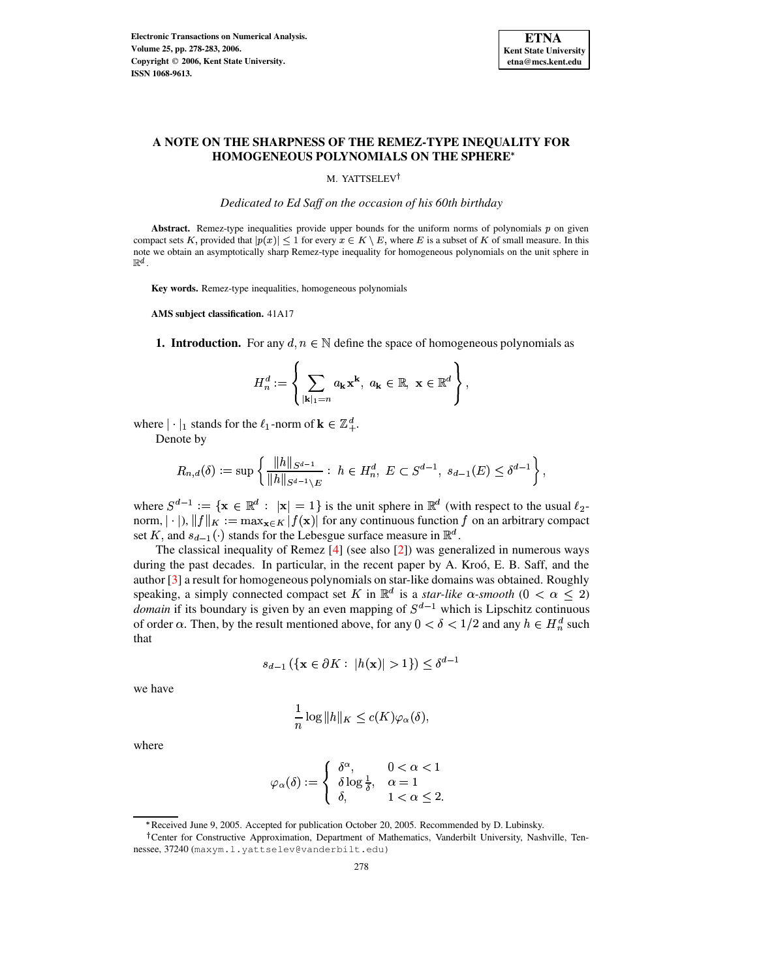

# **A NOTE ON THE SHARPNESS OF THE REMEZ-TYPE INEQUALITY FOR HOMOGENEOUS POLYNOMIALS ON THE SPHERE**

## M. YATTSELEV<sup>†</sup>

*Dedicated to Ed Saff on the occasion of his 60th birthday*

Abstract. Remez-type inequalities provide upper bounds for the uniform norms of polynomials  $p$  on given compact sets K, provided that  $|p(x)| \leq 1$  for every  $x \in K \setminus E$ , where E is a subset of K of small measure. In this note we obtain an asymptotically sharp Remez-type inequality for homogeneous polynomials on the unit sphere in  $\mathbb{R}^d$  .

**Key words.** Remez-type inequalities, homogeneous polynomials

**AMS subject classification.** 41A17

**1. Introduction.** For any  $d, n \in \mathbb{N}$  define the space of homogeneous polynomials as

$$
H_n^d := \left\{ \sum_{|\mathbf{k}|_1 = n} a_{\mathbf{k}} \mathbf{x}^{\mathbf{k}}, \ a_{\mathbf{k}} \in \mathbb{R}, \ \mathbf{x} \in \mathbb{R}^d \right\},\
$$

where  $|\cdot|_1$  stands for the  $\ell_1$ -norm of  $\mathbf{k} \in \mathbb{Z}_+^d$ .

Denote by

$$
R_{n,d}(\delta):=\sup\left\{\frac{\|h\|_{S^{d-1}}}{\|h\|_{S^{d-1}\setminus E}}:\; h\in H_n^d,\; E\subset S^{d-1},\; s_{d-1}(E)\leq \delta^{d-1}\right\},
$$

where  $S^{d-1} := \{ \mathbf{x} \in \mathbb{R}^d : |\mathbf{x}| = 1 \}$  is the unit sphere in  $\mathbb{R}^d$  (with respect to the usual  $\ell_2$ norm,  $|\cdot|$ ,  $||f||_K := \max_{\mathbf{x} \in K} |f(\mathbf{x})|$  for any continuous function f on an arbitrary compact set K, and  $s_{d-1}(\cdot)$  stands for the Lebesgue surface measure in  $\mathbb{R}^d$ .

The classical inequality of Remez [\[4\]](#page-5-0) (see also [\[2\]](#page-5-1)) was generalized in numerous ways during the past decades. In particular, in the recent paper by A. Kroó, E. B. Saff, and the author [\[3\]](#page-5-2) a result for homogeneous polynomials on star-like domains was obtained. Roughly speaking, a simply connected compact set K in  $\mathbb{R}^d$  is a *star-like*  $\alpha$ -smooth  $(0 < \alpha \leq 2)$ *domain* if its boundary is given by an even mapping of  $S^{d-1}$  which is Lipschitz continuous of order  $\alpha$ . Then, by the result mentioned above, for any  $0 < \delta < 1/2$  and any  $h \in H_n^d$  such that

$$
s_{d-1} \left( \{ \mathbf{x} \in \partial K : |h(\mathbf{x})| > 1 \} \right) \le \delta^{d-1}
$$

we have

$$
\frac{1}{n}\log ||h||_K \le c(K)\varphi_\alpha(\delta),
$$

where

$$
\varphi_{\alpha}(\delta) := \begin{cases} \delta^{\alpha}, & 0 < \alpha < 1 \\ \delta \log \frac{1}{\delta}, & \alpha = 1 \\ \delta, & 1 < \alpha \le 2. \end{cases}
$$

<sup>\*</sup> Received June 9, 2005. Accepted for publication October 20, 2005. Recommended by D. Lubinsky.

<sup>&</sup>lt;sup>†</sup> Center for Constructive Approximation, Department of Mathematics, Vanderbilt University, Nashville, Tennessee, 37240 (maxym.l.yattselev@vanderbilt.edu)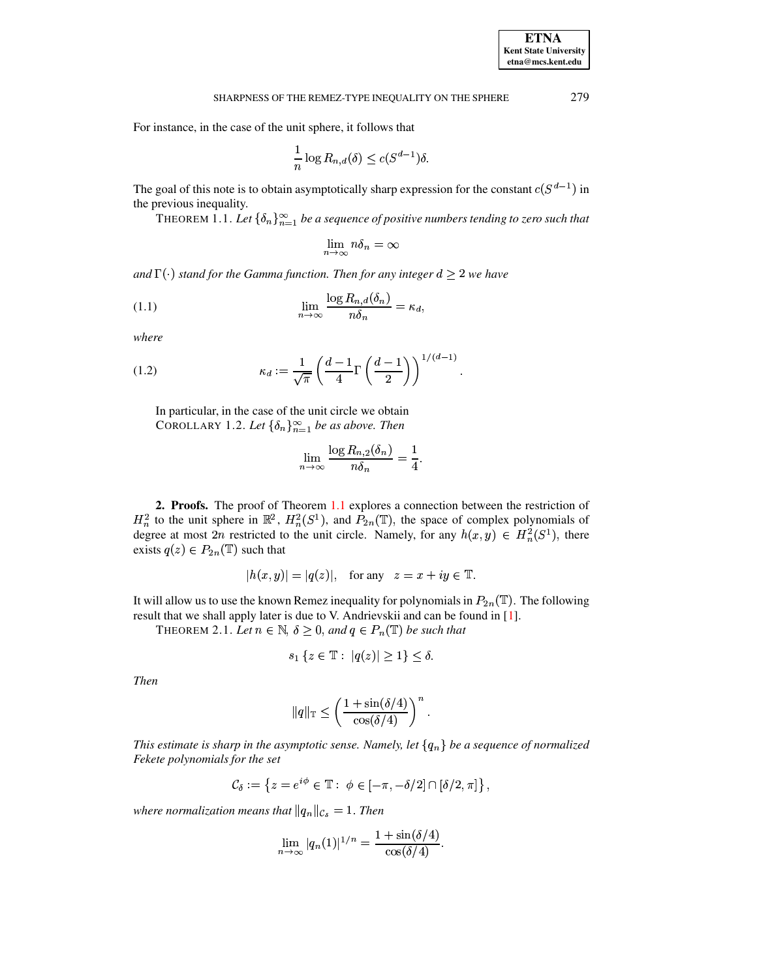For instance, in the case of the unit sphere, it follows that

$$
\frac{1}{n}\log R_{n,d}(\delta) \le c(S^{d-1})\delta.
$$

<span id="page-1-0"></span>The goal of this note is to obtain asymptotically sharp expression for the constant  $c(S^{d-1})$  in the previous inequality.

THEOREM 1.1. Let  $\{\delta_n\}_{n=1}^{\infty}$  be a sequence of positive numbers tending to zero such that

$$
\lim_{n\to\infty}n\delta_n=\infty
$$

and  $\Gamma(\cdot)$  stand for the Gamma function. Then for any integer  $d \geq 2$  we have

<span id="page-1-2"></span>(1.1) 
$$
\lim_{n \to \infty} \frac{\log R_{n,d}(\delta_n)}{n \delta_n} = \kappa_d,
$$

where

<span id="page-1-1"></span>(1.2) 
$$
\kappa_d := \frac{1}{\sqrt{\pi}} \left( \frac{d-1}{4} \Gamma\left(\frac{d-1}{2}\right) \right)^{1/(d-1)}
$$

In particular, in the case of the unit circle we obtain COROLLARY 1.2. Let  $\{\delta_n\}_{n=1}^{\infty}$  be as above. Then

$$
\lim_{n \to \infty} \frac{\log R_{n,2}(\delta_n)}{n \delta_n} = \frac{1}{4}
$$

2. Proofs. The proof of Theorem 1.1 explores a connection between the restriction of  $H_n^2$  to the unit sphere in  $\mathbb{R}^2$ ,  $H_n^2(S^1)$ , and  $P_{2n}(\mathbb{T})$ , the space of complex polynomials of degree at most  $2n$  restricted to the unit circle. Namely, for any  $h(x, y) \in H_n^2(S^1)$ , there exists  $q(z) \in P_{2n}(\mathbb{T})$  such that

$$
|h(x,y)| = |q(z)|, \text{ for any } z = x + iy \in \mathbb{T}.
$$

<span id="page-1-3"></span>It will allow us to use the known Remez inequality for polynomials in  $P_{2n}(\mathbb{T})$ . The following result that we shall apply later is due to V. Andrievskii and can be found in [1].

THEOREM 2.1. Let  $n \in \mathbb{N}$ ,  $\delta \geq 0$ , and  $q \in P_n(\mathbb{T})$  be such that

$$
s_1 \{ z \in \mathbb{T} : |q(z)| \ge 1 \} \le \delta.
$$

**Then** 

$$
||q||_{\mathbb{T}} \le \left(\frac{1+\sin(\delta/4)}{\cos(\delta/4)}\right)^n.
$$

This estimate is sharp in the asymptotic sense. Namely, let  $\{q_n\}$  be a sequence of normalized Fekete polynomials for the set

$$
\mathcal{C}_{\delta} := \left\{ z = e^{i\phi} \in \mathbb{T} : \phi \in [-\pi, -\delta/2] \cap [\delta/2, \pi] \right\},\
$$

where normalization means that  $||q_n||_{\mathcal{C}_{\delta}} = 1$ . Then

$$
\lim_{n \to \infty} |q_n(1)|^{1/n} = \frac{1 + \sin(\delta/4)}{\cos(\delta/4)}.
$$

279

**ETNA Kent State University**  $etna@mcs. kent.edu$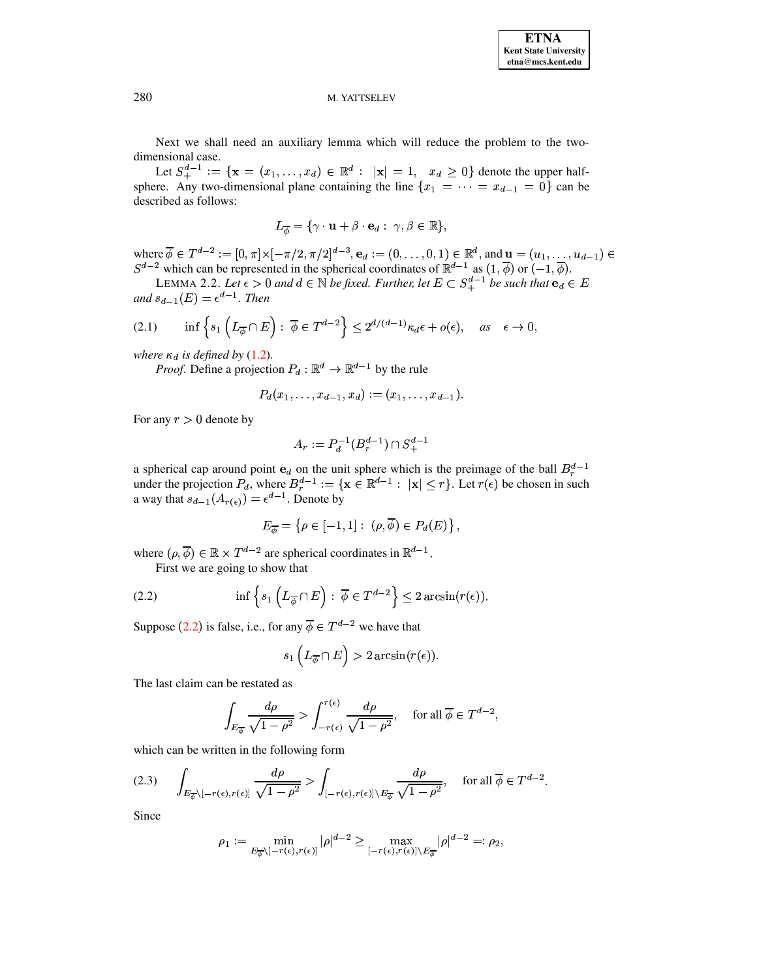## M. YATTSELEV

Next we shall need an auxiliary lemma which will reduce the problem to the two-

dimensional case.<br>Let  $S_+^{d-1} := \{ \mathbf{x} = (x_1, \dots, x_d) \in \mathbb{R}^d : |\mathbf{x}| = 1, \ x_d \ge 0 \}$  denote the upper halfsphere. Any two-dimensional plane containing the line  $\{x_1 = \cdots = x_{d-1} = 0\}$  can be described as follows:

$$
L_{\overline{\phi}} = \{ \gamma \cdot \mathbf{u} + \beta \cdot \mathbf{e}_d : \gamma, \beta \in \mathbb{R} \},
$$

where  $\overline{\phi} \in T^{d-2} := [0, \pi] \times [-\pi/2, \pi/2]^{d-3}$ ,  $\mathbf{e}_d := (0, \dots, 0, 1) \in \mathbb{R}^d$ , and  $\mathbf{u} = (u_1, \dots, u_{d-1}) \in S^{d-2}$  which can be represented in the spherical coordinates of  $\mathbb{R}^{d-1}$  as  $(1, \overline{\phi})$  or  $(-1, \overline{\phi})$ .<br>

<span id="page-2-3"></span>and  $s_{d-1}(E) = \epsilon^{d-1}$ . Then

<span id="page-2-2"></span>
$$
(2.1) \qquad \inf \left\{ s_1 \left( L_{\overline{\phi}} \cap E \right) : \overline{\phi} \in T^{d-2} \right\} \le 2^{d/(d-1)} \kappa_d \epsilon + o(\epsilon), \quad \text{as} \quad \epsilon \to 0
$$

where  $\kappa_d$  is defined by (1.2).

*Proof.* Define a projection  $P_d : \mathbb{R}^d \to \mathbb{R}^{d-1}$  by the rule

$$
P_d(x_1,\ldots,x_{d-1},x_d):=(x_1,\ldots,x_{d-1}).
$$

For any  $r > 0$  denote by

$$
A_r := P_d^{-1}(B_r^{d-1}) \cap S_+^{d-1}
$$

a spherical cap around point  $e_d$  on the unit sphere which is the preimage of the ball  $B_r^{d-1}$ under the projection  $P_d$ , where  $B_r^{d-1} := \{ \mathbf{x} \in \mathbb{R}^{d-1} : ||\mathbf{x}|| \leq r \}$ . Let  $r(\epsilon)$  be chosen in such a way that  $s_{d-1}(A_{r(\epsilon)}) = \epsilon^{d-1}$ . Denote by

$$
E_{\overline{\phi}} = \left\{ \rho \in [-1,1] : (\rho, \overline{\phi}) \in P_d(E) \right\},\
$$

where  $(\rho, \overline{\phi}) \in \mathbb{R} \times T^{d-2}$  are spherical coordinates in  $\mathbb{R}^{d-1}$ .

First we are going to show that

<span id="page-2-0"></span>(2.2) 
$$
\inf \left\{ s_1 \left( L_{\overline{\phi}} \cap E \right) : \overline{\phi} \in T^{d-2} \right\} \leq 2 \arcsin(r(\epsilon)).
$$

Suppose (2.2) is false, i.e., for any  $\overline{\phi} \in T^{d-2}$  we have that

$$
s_1\left(L_{\overline{\phi}} \cap E\right) > 2 \arcsin(r(\epsilon)).
$$

The last claim can be restated as

$$
\int_{E_{\overline{\phi}}} \frac{d\rho}{\sqrt{1-\rho^2}} > \int_{-r(\epsilon)}^{r(\epsilon)} \frac{d\rho}{\sqrt{1-\rho^2}}, \quad \text{for all } \overline{\phi} \in T^{d-2},
$$

which can be written in the following form

<span id="page-2-1"></span>
$$
(2.3) \qquad \int_{E_{\overline{\phi}} \setminus [-r(\epsilon), r(\epsilon)]} \frac{d\rho}{\sqrt{1-\rho^2}} > \int_{[-r(\epsilon), r(\epsilon)] \setminus E_{\overline{\phi}} } \frac{d\rho}{\sqrt{1-\rho^2}}, \quad \text{ for all } \overline{\phi} \in T^{d-2}.
$$

Since

$$
\rho_1 := \min_{E_{\overline{\phi}} \setminus [-r(\epsilon), r(\epsilon)]} |\rho|^{d-2} \ge \max_{[-r(\epsilon), r(\epsilon)] \setminus E_{\overline{\phi}}} |\rho|^{d-2} =: \rho_2,
$$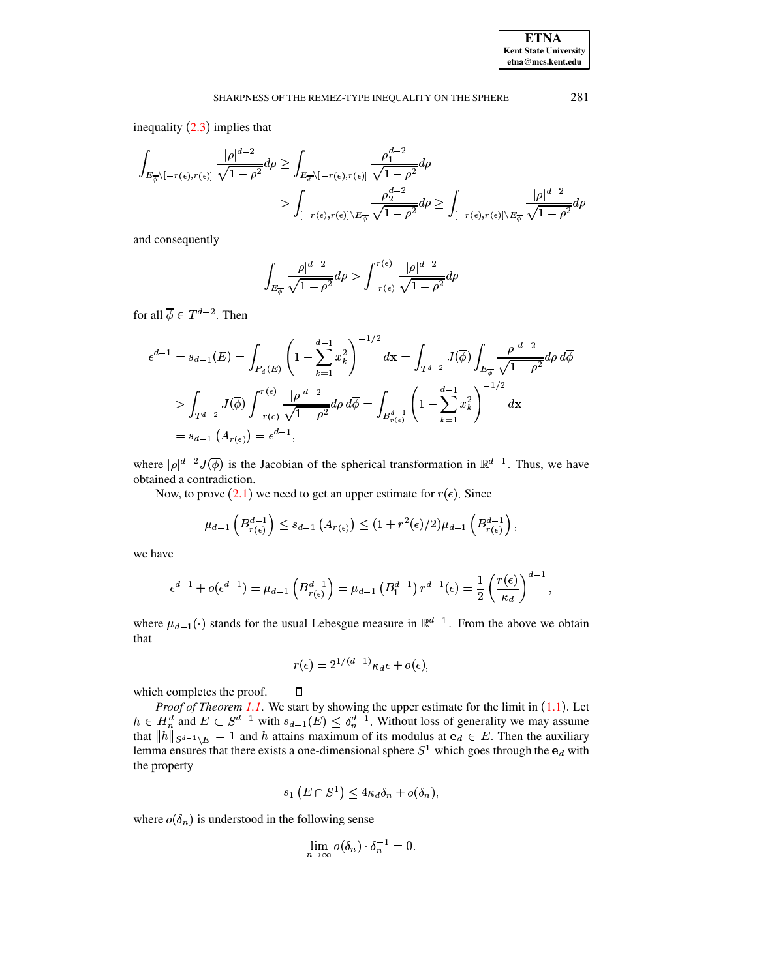# SHARPNESS OF THE REMEZ-TYPE INEQUALITY ON THE SPHERE

inequality  $(2.3)$  implies that

$$
\int_{E_{\overline{\phi}} \setminus [-r(\epsilon), r(\epsilon)]} \frac{|\rho|^{d-2}}{\sqrt{1-\rho^2}} d\rho \ge \int_{E_{\overline{\phi}} \setminus [-r(\epsilon), r(\epsilon)]} \frac{\rho_1^{d-2}}{\sqrt{1-\rho^2}} d\rho
$$
\n
$$
> \int_{[-r(\epsilon), r(\epsilon)] \setminus E_{\overline{\phi}}} \frac{\rho_2^{d-2}}{\sqrt{1-\rho^2}} d\rho \ge \int_{[-r(\epsilon), r(\epsilon)] \setminus E_{\overline{\phi}}}\frac{|\rho|^{d-2}}{\sqrt{1-\rho^2}} d\rho
$$

and consequently

$$
\int_{E_{\overline{\phi}}} \frac{|\rho|^{d-2}}{\sqrt{1-\rho^2}} d\rho > \int_{-r(\epsilon)}^{r(\epsilon)} \frac{|\rho|^{d-2}}{\sqrt{1-\rho^2}} d\rho
$$

for all  $\overline{\phi} \in T^{d-2}$ . Then

$$
\epsilon^{d-1} = s_{d-1}(E) = \int_{P_d(E)} \left( 1 - \sum_{k=1}^{d-1} x_k^2 \right)^{-1/2} d\mathbf{x} = \int_{T^{d-2}} J(\overline{\phi}) \int_{E_{\overline{\phi}}} \frac{|\rho|^{d-2}}{\sqrt{1 - \rho^2}} d\rho d\overline{\phi}
$$
  
> 
$$
\int_{T^{d-2}} J(\overline{\phi}) \int_{-r(\epsilon)}^{r(\epsilon)} \frac{|\rho|^{d-2}}{\sqrt{1 - \rho^2}} d\rho d\overline{\phi} = \int_{B_{r(\epsilon)}^{d-1}} \left( 1 - \sum_{k=1}^{d-1} x_k^2 \right)^{-1/2} d\mathbf{x}
$$
  
= 
$$
s_{d-1} (A_{r(\epsilon)}) = \epsilon^{d-1},
$$

where  $|\rho|^{d-2} J(\overline{\phi})$  is the Jacobian of the spherical transformation in  $\mathbb{R}^{d-1}$ . Thus, we have obtained a contradiction.

Now, to prove  $(2.1)$  we need to get an upper estimate for  $r(\epsilon)$ . Since

$$
\mu_{d-1}\left(B_{r(\epsilon)}^{d-1}\right)\leq s_{d-1}\left(A_{r(\epsilon)}\right)\leq (1+r^2(\epsilon)/2)\mu_{d-1}\left(B_{r(\epsilon)}^{d-1}\right),
$$

we have

$$
\epsilon^{d-1} + o(\epsilon^{d-1}) = \mu_{d-1} \left( B_{r(\epsilon)}^{d-1} \right) = \mu_{d-1} \left( B_1^{d-1} \right) r^{d-1}(\epsilon) = \frac{1}{2} \left( \frac{r(\epsilon)}{\kappa_d} \right)^{d-1}
$$

where  $\mu_{d-1}(\cdot)$  stands for the usual Lebesgue measure in  $\mathbb{R}^{d-1}$ . From the above we obtain that

$$
r(\epsilon) = 2^{1/(d-1)} \kappa_d \epsilon + o(\epsilon),
$$

 $\Box$ 

which completes the proof.

*Proof of Theorem 1.1.* We start by showing the upper estimate for the limit in (1.1). Let  $h \in H_n^d$  and  $E \subset S^{d-1}$  with  $s_{d-1}(E) \leq \delta_n^{d-1}$ . Without loss of generality we may assume that  $||h||_{S^{d-1} \setminus E} = 1$  and h att lemma ensures that there exists a one-dimensional sphere  $S^1$  which goes through the  $e_d$  with the property

$$
s_1(E \cap S^1) \leq 4\kappa_d \delta_n + o(\delta_n),
$$

where  $o(\delta_n)$  is understood in the following sense

$$
\lim_{n \to \infty} o(\delta_n) \cdot \delta_n^{-1} = 0.
$$

281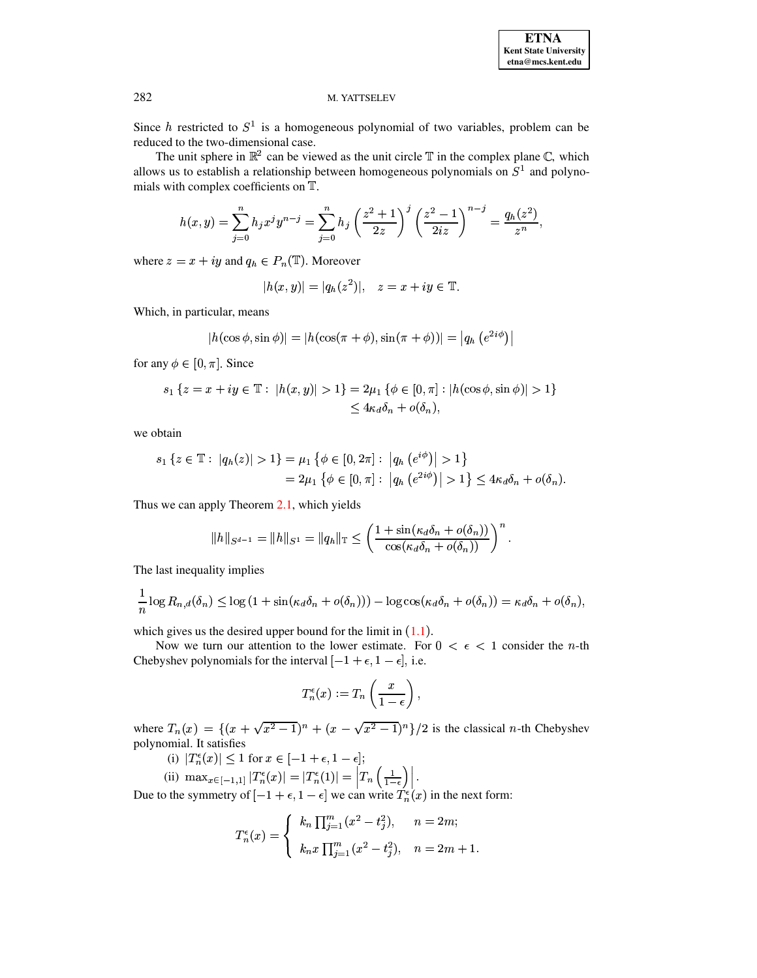## M. YATTSELEV

Since h restricted to  $S^1$  is a homogeneous polynomial of two variables, problem can be reduced to the two-dimensional case.

The unit sphere in  $\mathbb{R}^2$  can be viewed as the unit circle  $\mathbb T$  in the complex plane  $\mathbb C$ , which allows us to establish a relationship between homogeneous polynomials on  $S^1$  and polynomials with complex coefficients on T.

$$
h(x,y) = \sum_{j=0}^{n} h_j x^j y^{n-j} = \sum_{j=0}^{n} h_j \left(\frac{z^2+1}{2z}\right)^j \left(\frac{z^2-1}{2iz}\right)^{n-j} = \frac{q_h(z^2)}{z^n},
$$

where  $z = x + iy$  and  $q_h \in P_n(\mathbb{T})$ . Moreover

$$
|h(x,y)| = |q_h(z^2)|, \quad z = x + iy \in \mathbb{T}.
$$

Which, in particular, means

$$
|h(\cos \phi, \sin \phi)| = |h(\cos(\pi + \phi), \sin(\pi + \phi))| = |q_h (e^{2i\phi})|
$$

for any  $\phi \in [0, \pi]$ . Since

$$
s_1 \{ z = x + iy \in \mathbb{T} : |h(x, y)| > 1 \} = 2\mu_1 \{ \phi \in [0, \pi] : |h(\cos \phi, \sin \phi)| > 1 \}
$$
  

$$
< 4\kappa_d \delta_n + o(\delta_n),
$$

we obtain

$$
s_1 \{ z \in \mathbb{T} : |q_h(z)| > 1 \} = \mu_1 \{ \phi \in [0, 2\pi] : |q_h(e^{i\phi})| > 1 \}
$$
  
=  $2\mu_1 \{ \phi \in [0, \pi] : |q_h(e^{2i\phi})| > 1 \} \leq 4\kappa_d \delta_n + o(\delta_n).$ 

Thus we can apply Theorem 2.1, which yields

$$
||h||_{S^{d-1}} = ||h||_{S^1} = ||q_h||_{\mathbb{T}} \le \left(\frac{1+\sin(\kappa_d\delta_n + o(\delta_n))}{\cos(\kappa_d\delta_n + o(\delta_n))}\right)^n.
$$

The last inequality implies

$$
\frac{1}{n}\log R_{n,d}(\delta_n) \leq \log\left(1+\sin(\kappa_d\delta_n+o(\delta_n))\right)-\log\cos(\kappa_d\delta_n+o(\delta_n))=\kappa_d\delta_n+o(\delta_n),
$$

which gives us the desired upper bound for the limit in  $(1.1)$ .

Now we turn our attention to the lower estimate. For  $0 < \epsilon < 1$  consider the *n*-th Chebyshev polynomials for the interval  $[-1 + \epsilon, 1 - \epsilon]$ , i.e.

$$
T_n^{\epsilon}(x) := T_n\left(\frac{x}{1-\epsilon}\right),\,
$$

where  $T_n(x) = \{(x + \sqrt{x^2 - 1})^n + (x - \sqrt{x^2 - 1})^n\}/2$  is the classical *n*-th Chebyshev polynomial. It satisfies

(i)  $|T_n^{\epsilon}(x)| \leq 1$  for  $x \in [-1 + \epsilon, 1 - \epsilon]$ ;

(ii) 
$$
\max_{x \in [-1,1]} |T_n^{\epsilon}(x)| = |T_n^{\epsilon}(1)| = |T_n(\frac{1}{1-\epsilon})|
$$
.

Due to the symmetry of  $[-1 + \epsilon, 1 - \epsilon]$  we can write  $T_n^{\epsilon}(x)$  in the next form:

$$
T_n^{\epsilon}(x) = \begin{cases} k_n \prod_{j=1}^m (x^2 - t_j^2), & n = 2m; \\ k_n x \prod_{j=1}^m (x^2 - t_j^2), & n = 2m + 1. \end{cases}
$$